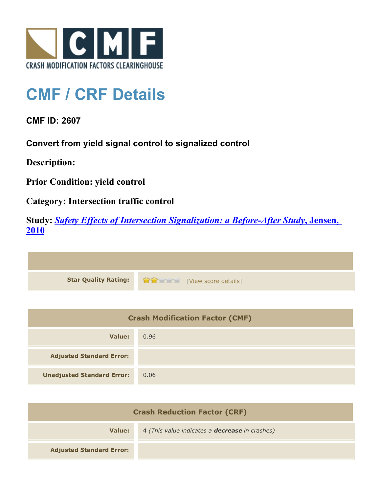

## **CMF / CRF Details**

**CMF ID: 2607**

**Convert from yield signal control to signalized control**

**Description:** 

**Prior Condition: yield control**

**Category: Intersection traffic control**

**Study:** *[Safety Effects of Intersection Signalization: a Before-After Study](http://www.cmfclearinghouse.org/study_detail.cfm?stid=170)***[, Jensen,](http://www.cmfclearinghouse.org/study_detail.cfm?stid=170) [2010](http://www.cmfclearinghouse.org/study_detail.cfm?stid=170)**



| <b>Crash Modification Factor (CMF)</b> |      |
|----------------------------------------|------|
| Value:                                 | 0.96 |
| <b>Adjusted Standard Error:</b>        |      |
| <b>Unadjusted Standard Error:</b>      | 0.06 |

| <b>Crash Reduction Factor (CRF)</b> |                                                       |
|-------------------------------------|-------------------------------------------------------|
| Value:                              | 4 (This value indicates a <b>decrease</b> in crashes) |
| <b>Adjusted Standard Error:</b>     |                                                       |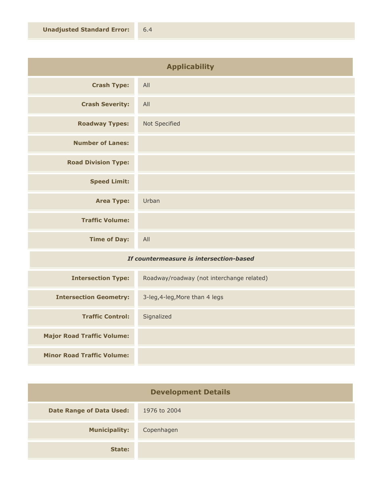| <b>Applicability</b>       |               |
|----------------------------|---------------|
| <b>Crash Type:</b>         | All           |
| <b>Crash Severity:</b>     | All           |
| <b>Roadway Types:</b>      | Not Specified |
| <b>Number of Lanes:</b>    |               |
| <b>Road Division Type:</b> |               |
| <b>Speed Limit:</b>        |               |
| <b>Area Type:</b>          | Urban         |
| <b>Traffic Volume:</b>     |               |
| <b>Time of Day:</b>        | All           |
|                            |               |

## *If countermeasure is intersection-based*

| <b>Intersection Type:</b>         | Roadway/roadway (not interchange related) |
|-----------------------------------|-------------------------------------------|
| <b>Intersection Geometry:</b>     | 3-leg, 4-leg, More than 4 legs            |
| <b>Traffic Control:</b>           | Signalized                                |
| <b>Major Road Traffic Volume:</b> |                                           |
| <b>Minor Road Traffic Volume:</b> |                                           |

| <b>Development Details</b>      |              |
|---------------------------------|--------------|
| <b>Date Range of Data Used:</b> | 1976 to 2004 |
| <b>Municipality:</b>            | Copenhagen   |
| State:                          |              |